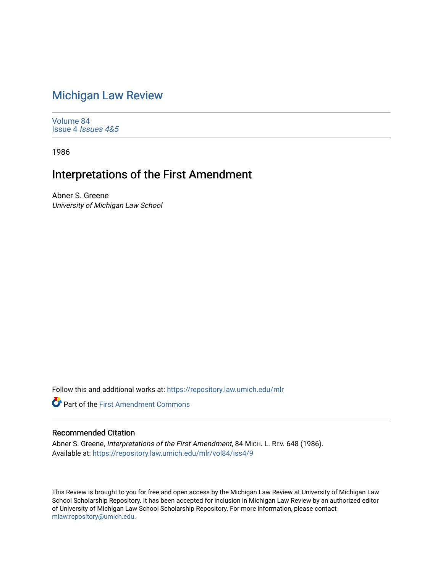## [Michigan Law Review](https://repository.law.umich.edu/mlr)

[Volume 84](https://repository.law.umich.edu/mlr/vol84) Issue 4 [Issues 4&5](https://repository.law.umich.edu/mlr/vol84/iss4) 

1986

## Interpretations of the First Amendment

Abner S. Greene University of Michigan Law School

Follow this and additional works at: [https://repository.law.umich.edu/mlr](https://repository.law.umich.edu/mlr?utm_source=repository.law.umich.edu%2Fmlr%2Fvol84%2Fiss4%2F9&utm_medium=PDF&utm_campaign=PDFCoverPages) 

**Part of the First Amendment Commons** 

## Recommended Citation

Abner S. Greene, Interpretations of the First Amendment, 84 MICH. L. REV. 648 (1986). Available at: [https://repository.law.umich.edu/mlr/vol84/iss4/9](https://repository.law.umich.edu/mlr/vol84/iss4/9?utm_source=repository.law.umich.edu%2Fmlr%2Fvol84%2Fiss4%2F9&utm_medium=PDF&utm_campaign=PDFCoverPages)

This Review is brought to you for free and open access by the Michigan Law Review at University of Michigan Law School Scholarship Repository. It has been accepted for inclusion in Michigan Law Review by an authorized editor of University of Michigan Law School Scholarship Repository. For more information, please contact [mlaw.repository@umich.edu.](mailto:mlaw.repository@umich.edu)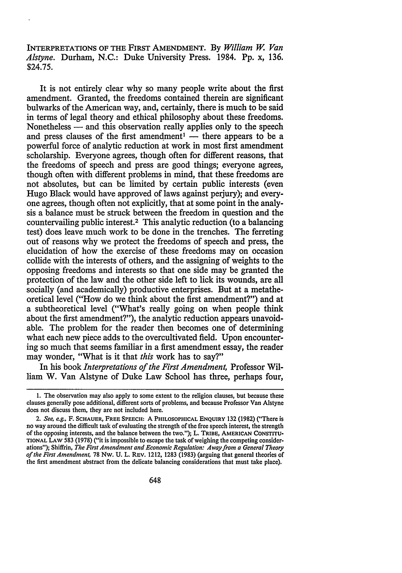INTERPRETATIONS OF THE FIRST AMENDMENT. By *William W. Van Alstyne.* Durham, **N.C.:** Duke University Press. 1984. **Pp.** x, 136. \$24.75.

It is not entirely clear why so many people write about the first amendment. Granted, the freedoms contained therein are significant bulwarks of the American way, and, certainly, there is much to be said in terms of legal theory and ethical philosophy about these freedoms. Nonetheless — and this observation really applies only to the speech and press clauses of the first amendment<sup>1</sup> — there appears to be a powerful force of analytic reduction at work in most first amendment scholarship. Everyone agrees, though often for different reasons, that the freedoms of speech and press are good things; everyone agrees, though often with different problems in mind, that these freedoms are not absolutes, but can be limited **by** certain public interests (even Hugo Black would have approved of laws against perjury); and everyone agrees, though often not explicitly, that at some point in the analysis a balance must be struck between the freedom in question and the countervailing public interest.2 This analytic reduction (to a balancing test) does leave much work to be done in the trenches. The ferreting out of reasons why we protect the freedoms of speech and press, the elucidation of how the exercise of these freedoms may on occasion collide with the interests of others, and the assigning of weights to the opposing freedoms and interests so that one side may be granted the protection of the law and the other side left to lick its wounds, are all socially (and academically) productive enterprises. But at a metatheoretical level ("How do we think about the first amendment?") and at a subtheoretical level ("What's really going on when people think about the first amendment?"), the analytic reduction appears unavoidable. The problem for the reader then becomes one of determining what each new piece adds to the overcultivated field. Upon encountering so much that seems familiar in a first amendment essay, the reader may wonder, "What is it that *this* work has to say?"

In his book *Interpretations of the First Amendment,* Professor William W. Van Alstyne of Duke Law School has three, perhaps four,

**<sup>1.</sup>** The observation may also apply to some extent to the religion clauses, but because these clauses generally pose additional, different sorts of problems, and because Professor Van Alstyne does not discuss them, they are not included here.

*<sup>2.</sup> See, eg.,* F. **SCHAUER,** FREE **SPEECH:** A **PHILOSOPHICAL ENQUIRY** 132 (1982) ("There is no way around the difficult task of evaluating the strength of the free speech interest, the strength of the opposing interests, and the balance between the two."); L. TRIBE, **AMERICAN CONSTITU-TIONAL** LAW **583** (1978) ("it is impossible to escape the task of weighing the competing considerations"); Shiffirin, *The First Amendment and Economic Regulation: Away from a General Theory of the First Amendment,* **78** Nw. **U.** L. REv. 1212, 1283 (1983) (arguing that general theories of the first amendment abstract from the delicate balancing considerations that must take place).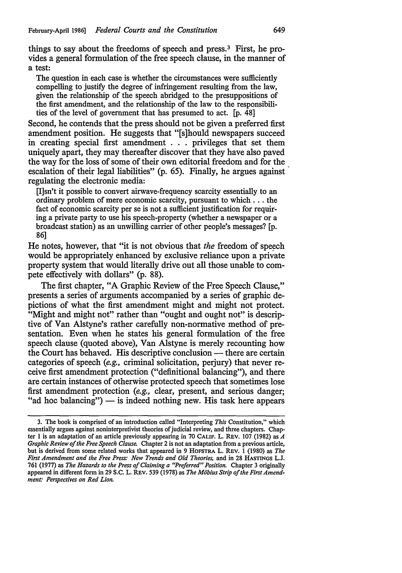things to say about the freedoms of speech and press.3 First, he provides a general formulation of the free speech clause, in the manner of a test:

The question in each case is whether the circumstances were sufficiently compelling to justify the degree of infringement resulting from the law, given the relationship of the speech abridged to the presuppositions of the first amendment, and the relationship of the law to the responsibilities of the level of government that has presumed to act. [p. 48]

Second, he contends that the press should not be given a preferred first amendment position. He suggests that "[s]hould newspapers succeed in creating special first amendment . . . privileges that set them uniquely apart, they may thereafter discover that they have also paved the way for the loss of some of their own editorial freedom and for the escalation of their legal liabilities" (p. 65). Finally, he argues against regulating the electronic media:

[I]sn't it possible to convert airwave-frequency scarcity essentially to an ordinary problem of mere economic scarcity, pursuant to which **...** the fact of economic scarcity per se is not a sufficient justification for requiring a private party to use his speech-property (whether a newspaper or a broadcast station) as an unwilling carrier of other people's messages? [p. 86]

He notes, however, that "it is not obvious that *the* freedom of speech would be appropriately enhanced by exclusive reliance upon a private property system that would literally drive out all those unable to compete effectively with dollars" (p. 88).

The first chapter, "A Graphic Review of the Free Speech Clause," presents a series of arguments accompanied by a series of graphic depictions of what the first amendment might and might not protect. "Might and might not" rather than "ought and ought not" is descriptive of Van Alstyne's rather carefully non-normative method of presentation. Even when he states his general formulation of the free speech clause (quoted above), Van Alstyne is merely recounting how the Court has behaved. His descriptive conclusion — there are certain categories of speech *(e.g.,* criminal solicitation, perjury) that never receive first amendment protection ("definitional balancing"), and there are certain instances of otherwise protected speech that sometimes lose first amendment protection *(e.g., clear, present, and serious danger;* "ad hoc balancing") — is indeed nothing new. His task here appears

<sup>3.</sup> The book is comprised of an introduction called "Interpreting *This* Constitution," which essentially argues against noninterpretivist theories of judicial review, and three chapters. Chapter 1 is an adaptation of an article previously appearing in 70 **CALIF.** L. REV. 107 (1982) as *A Graphic Review of the Free Speech Clause.* Chapter 2 is not an adaptation from a previous article, but is derived from some related works that appeared in 9 HoFSTRA L. REV. 1 (1980) as *The First Amendment and the Free Press: New Trends and Old Theories,* and in 28 HASTINGs L.J. 761 (1977) as *The Hazards to the Press of Claiming a "Preferred" Position.* Chapter 3 originally appeared in different form in 29 S.C. L. REV. 539 (1978) as *The Möbius Strip of the First Amendment: Perspectives on Red Lion.*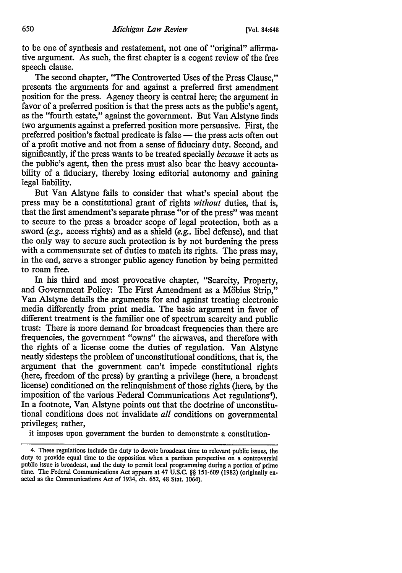to be one of synthesis and restatement, not one of "original" affirmative argument. As such, the first chapter is a cogent review of the free speech clause.

The second chapter, "The Controverted Uses of the Press Clause," presents the arguments for and against a preferred first amendment position for the press. Agency theory is central here; the argument in favor of a preferred position is that the press acts as the public's agent, as the "fourth estate," against the government. But Van Alstyne finds two arguments against a preferred position more persuasive. First, the preferred position's factual predicate is false — the press acts often out of a profit motive and not from a sense of fiduciary duty. Second, and significantly, if the press wants to be treated specially *because* it acts as the public's agent, then the press must also bear the heavy accountability of a fiduciary, thereby losing editorial autonomy and gaining legal liability.

But Van Alstyne fails to consider that what's special about the press may be a constitutional grant of rights *without* duties, that is, that the first amendment's separate phrase "or of the press" was meant to secure to the press a broader scope of legal protection, both as a sword *(e.g.,* access rights) and as a shield *(e.g.,* libel defense), and that the only way to secure such protection is by not burdening the press with a commensurate set of duties to match its rights. The press may, in the end, serve a stronger public agency function by being permitted to roam free.

In his third and most provocative chapter, "Scarcity, Property, and Government Policy: The First Amendment as a Möbius Strip,' Van Alstyne details the arguments for and against treating electronic media differently from print media. The basic argument in favor of different treatment is the familiar one of spectrum scarcity and public trust: There is more demand for broadcast frequencies than there are frequencies, the government "owns" the airwaves, and therefore with the rights of a license come the duties of regulation. Van Alstyne neatly sidesteps the problem of unconstitutional conditions, that is, the argument that the government can't impede constitutional rights (here, freedom of the press) by granting a privilege (here, a broadcast license) conditioned on the relinquishment of those rights (here, by the imposition of the various Federal Communications Act regulations<sup>4</sup>). In a footnote, Van Alstyne points out that the doctrine of unconstitutional conditions does not invalidate *all* conditions on governmental privileges; rather,

it imposes upon government the burden to demonstrate a constitution-

<sup>4.</sup> These regulations include the duty to devote broadcast time to relevant public issues, the duty to provide equal time to the opposition when a partisan perspective on a controversial public issue is broadcast, and the duty to permit local programming during a portion of prime time. The Federal Communications Act appears at 47 U.S.C. §§ 151-609 (1982) (originally en- acted as the Communications Act of 1934, ch. 652, 48 Stat. 1064).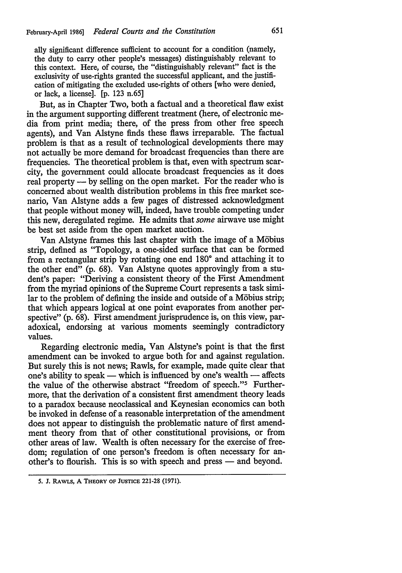ally significant difference sufficient to account for a condition (namely, the duty to carry other people's messages) distinguishably relevant to this context. Here, of course, the "distinguishably relevant" fact is the exclusivity of use-rights granted the successful applicant, and the justification of mitigating the excluded use-rights of others [who were denied, or lack, a license]. [p. 123 n.65]

But, as in Chapter Two, both a factual and a theoretical flaw exist in the argument supporting different treatment (here, of electronic media from print media; there, of the press from other free speech agents), and Van Alstyne finds these flaws irreparable. The factual problem is that as a result of technological developments there may not actually be more demand for broadcast frequencies than there are frequencies. The theoretical problem is that, even with spectrum scarcity, the government could allocate broadcast frequencies as it does real property - by selling on the open market. For the reader who is concerned about wealth distribution problems in this free market scenario, Van Alstyne adds a few pages of distressed acknowledgment that people without money will, indeed, have trouble competing under this new, deregulated regime. He admits that *some* airwave use might be best set aside from the open market auction.

Van Alstyne frames this last chapter with the image of a Möbius strip, defined as "Topology, a one-sided surface that can be formed from a rectangular strip by rotating one end 180\* and attaching it to the other end" (p. 68). Van Alstyne quotes approvingly from a student's paper: "Deriving a consistent theory of the First Amendment from the myriad opinions of the Supreme Court represents a task similar to the problem of defining the inside and outside of a Möbius strip; that which appears logical at one point evaporates from another perspective" (p. 68). First amendment jurisprudence is, on this view, paradoxical, endorsing at various moments seemingly contradictory values.

Regarding electronic media, Van Alstyne's point is that the first amendment can be invoked to argue both for and against regulation. But surely this is not news; Rawls, for example, made quite clear that one's ability to speak — which is influenced by one's wealth — affects the value of the otherwise abstract "freedom of speech."<sup>5</sup> Furthermore, that the derivation of a consistent first amendment theory leads to a paradox because neoclassical and Keynesian economics can both be invoked in defense of a reasonable interpretation of the amendment does not appear to distinguish the problematic nature of first amendment theory from that of other constitutional provisions, or from other areas of law. Wealth is often necessary for the exercise of freedom; regulation of one person's freedom is often necessary for another's to flourish. This is so with speech and press  $-$  and beyond.

**<sup>5.</sup> J.** RAwLs, **A THEORY OF JUSTICE 221-28 (1971).**